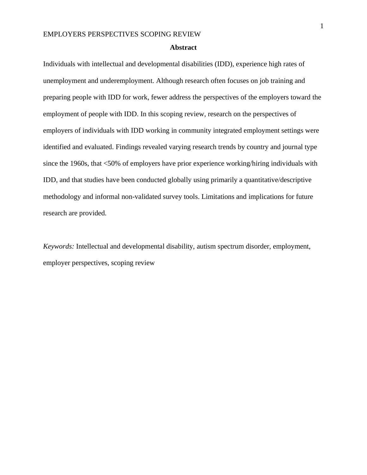#### **Abstract**

Individuals with intellectual and developmental disabilities (IDD), experience high rates of unemployment and underemployment. Although research often focuses on job training and preparing people with IDD for work, fewer address the perspectives of the employers toward the employment of people with IDD. In this scoping review, research on the perspectives of employers of individuals with IDD working in community integrated employment settings were identified and evaluated. Findings revealed varying research trends by country and journal type since the 1960s, that <50% of employers have prior experience working/hiring individuals with IDD, and that studies have been conducted globally using primarily a quantitative/descriptive methodology and informal non-validated survey tools. Limitations and implications for future research are provided.

*Keywords:* Intellectual and developmental disability, autism spectrum disorder, employment, employer perspectives, scoping review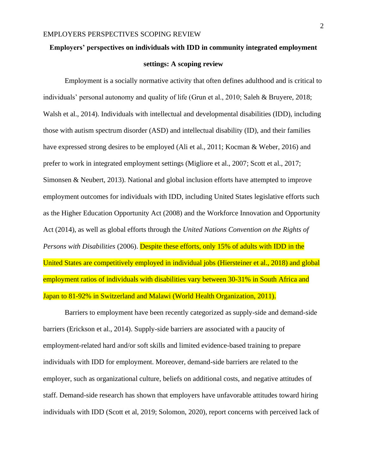### **Employers' perspectives on individuals with IDD in community integrated employment**

# **settings: A scoping review**

Employment is a socially normative activity that often defines adulthood and is critical to individuals' personal autonomy and quality of life (Grun et al., 2010; Saleh & Bruyere, 2018; Walsh et al., 2014). Individuals with intellectual and developmental disabilities (IDD), including those with autism spectrum disorder (ASD) and intellectual disability (ID), and their families have expressed strong desires to be employed (Ali et al., 2011; Kocman & Weber, 2016) and prefer to work in integrated employment settings (Migliore et al., 2007; Scott et al., 2017; Simonsen & Neubert, 2013). National and global inclusion efforts have attempted to improve employment outcomes for individuals with IDD, including United States legislative efforts such as the Higher Education Opportunity Act (2008) and the Workforce Innovation and Opportunity Act (2014), as well as global efforts through the *United Nations Convention on the Rights of Persons with Disabilities* (2006). Despite these efforts, only 15% of adults with IDD in the United States are competitively employed in individual jobs (Hiersteiner et al., 2018) and global employment ratios of individuals with disabilities vary between 30-31% in South Africa and Japan to 81-92% in Switzerland and Malawi (World Health Organization, 2011).

Barriers to employment have been recently categorized as supply-side and demand-side barriers (Erickson et al., 2014). Supply-side barriers are associated with a paucity of employment-related hard and/or soft skills and limited evidence-based training to prepare individuals with IDD for employment. Moreover, demand-side barriers are related to the employer, such as organizational culture, beliefs on additional costs, and negative attitudes of staff. Demand-side research has shown that employers have unfavorable attitudes toward hiring individuals with IDD (Scott et al, 2019; Solomon, 2020), report concerns with perceived lack of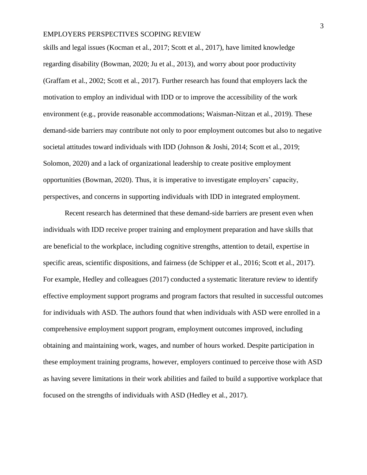skills and legal issues (Kocman et al., 2017; Scott et al., 2017), have limited knowledge regarding disability (Bowman, 2020; Ju et al., 2013), and worry about poor productivity (Graffam et al., 2002; Scott et al., 2017). Further research has found that employers lack the motivation to employ an individual with IDD or to improve the accessibility of the work environment (e.g., provide reasonable accommodations; Waisman-Nitzan et al., 2019). These demand-side barriers may contribute not only to poor employment outcomes but also to negative societal attitudes toward individuals with IDD (Johnson & Joshi, 2014; Scott et al., 2019; Solomon, 2020) and a lack of organizational leadership to create positive employment opportunities (Bowman, 2020). Thus, it is imperative to investigate employers' capacity, perspectives, and concerns in supporting individuals with IDD in integrated employment.

Recent research has determined that these demand-side barriers are present even when individuals with IDD receive proper training and employment preparation and have skills that are beneficial to the workplace, including cognitive strengths, attention to detail, expertise in specific areas, scientific dispositions, and fairness (de Schipper et al., 2016; Scott et al., 2017). For example, Hedley and colleagues (2017) conducted a systematic literature review to identify effective employment support programs and program factors that resulted in successful outcomes for individuals with ASD. The authors found that when individuals with ASD were enrolled in a comprehensive employment support program, employment outcomes improved, including obtaining and maintaining work, wages, and number of hours worked. Despite participation in these employment training programs, however, employers continued to perceive those with ASD as having severe limitations in their work abilities and failed to build a supportive workplace that focused on the strengths of individuals with ASD (Hedley et al., 2017).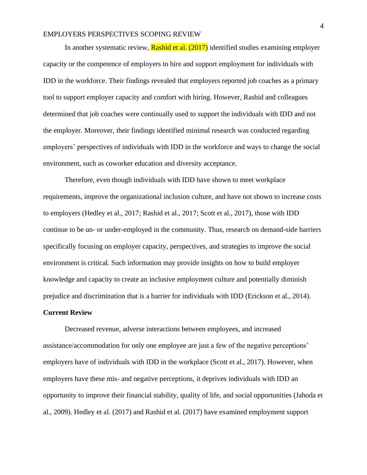In another systematic review, **Rashid et al.** (2017) identified studies examining employer capacity or the competence of employers to hire and support employment for individuals with IDD in the workforce. Their findings revealed that employers reported job coaches as a primary tool to support employer capacity and comfort with hiring. However, Rashid and colleagues determined that job coaches were continually used to support the individuals with IDD and not the employer. Moreover, their findings identified minimal research was conducted regarding employers' perspectives of individuals with IDD in the workforce and ways to change the social environment, such as coworker education and diversity acceptance.

Therefore, even though individuals with IDD have shown to meet workplace requirements, improve the organizational inclusion culture, and have not shown to increase costs to employers (Hedley et al., 2017; Rashid et al., 2017; Scott et al., 2017), those with IDD continue to be un- or under-employed in the community. Thus, research on demand-side barriers specifically focusing on employer capacity, perspectives, and strategies to improve the social environment is critical. Such information may provide insights on how to build employer knowledge and capacity to create an inclusive employment culture and potentially diminish prejudice and discrimination that is a barrier for individuals with IDD (Erickson et al., 2014).

### **Current Review**

Decreased revenue, adverse interactions between employees, and increased assistance/accommodation for only one employee are just a few of the negative perceptions' employers have of individuals with IDD in the workplace (Scott et al., 2017). However, when employers have these mis- and negative perceptions, it deprives individuals with IDD an opportunity to improve their financial stability, quality of life, and social opportunities (Jahoda et al., 2009). Hedley et al. (2017) and Rashid et al. (2017) have examined employment support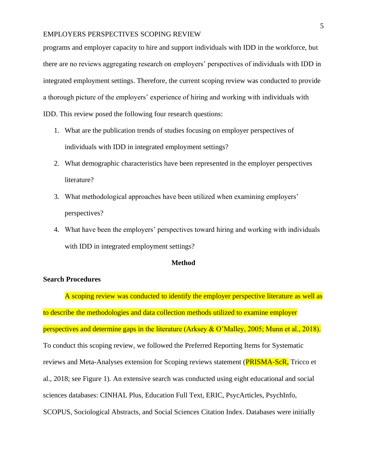programs and employer capacity to hire and support individuals with IDD in the workforce, but there are no reviews aggregating research on employers' perspectives of individuals with IDD in integrated employment settings. Therefore, the current scoping review was conducted to provide a thorough picture of the employers' experience of hiring and working with individuals with IDD. This review posed the following four research questions:

- 1. What are the publication trends of studies focusing on employer perspectives of individuals with IDD in integrated employment settings?
- 2. What demographic characteristics have been represented in the employer perspectives literature?
- 3. What methodological approaches have been utilized when examining employers' perspectives?
- 4. What have been the employers' perspectives toward hiring and working with individuals with IDD in integrated employment settings?

### **Method**

### **Search Procedures**

A scoping review was conducted to identify the employer perspective literature as well as to describe the methodologies and data collection methods utilized to examine employer perspectives and determine gaps in the literature (Arksey & O'Malley, 2005; Munn et al., 2018). To conduct this scoping review, we followed the Preferred Reporting Items for Systematic reviews and Meta-Analyses extension for Scoping reviews statement (**PRISMA-ScR**, Tricco et al., 2018; see Figure 1). An extensive search was conducted using eight educational and social sciences databases: CINHAL Plus, Education Full Text, ERIC, PsycArticles, PsychInfo, SCOPUS, Sociological Abstracts, and Social Sciences Citation Index. Databases were initially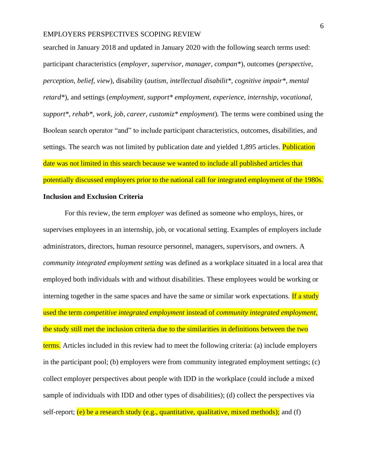searched in January 2018 and updated in January 2020 with the following search terms used: participant characteristics (*employer, supervisor, manager, compan\**), outcomes (*perspective, perception, belief, view*), disability (*autism, intellectual disabilit\*, cognitive impair\*, mental retard\**), and settings (*employment, support\* employment, experience, internship, vocational, support\*, rehab\*, work, job, career, customiz\* employment*)*.* The terms were combined using the Boolean search operator "and" to include participant characteristics, outcomes, disabilities, and settings. The search was not limited by publication date and yielded 1,895 articles. Publication date was not limited in this search because we wanted to include all published articles that potentially discussed employers prior to the national call for integrated employment of the 1980s.

# **Inclusion and Exclusion Criteria**

For this review, the term *employer* was defined as someone who employs, hires, or supervises employees in an internship, job, or vocational setting. Examples of employers include administrators, directors, human resource personnel, managers, supervisors, and owners. A *community integrated employment setting* was defined as a workplace situated in a local area that employed both individuals with and without disabilities. These employees would be working or interning together in the same spaces and have the same or similar work expectations. If a study used the term *competitive integrated employment* instead of *community integrated employment*, the study still met the inclusion criteria due to the similarities in definitions between the two terms. Articles included in this review had to meet the following criteria: (a) include employers in the participant pool; (b) employers were from community integrated employment settings; (c) collect employer perspectives about people with IDD in the workplace (could include a mixed sample of individuals with IDD and other types of disabilities); (d) collect the perspectives via self-report;  $(e)$  be a research study (e.g., quantitative, qualitative, mixed methods); and (f)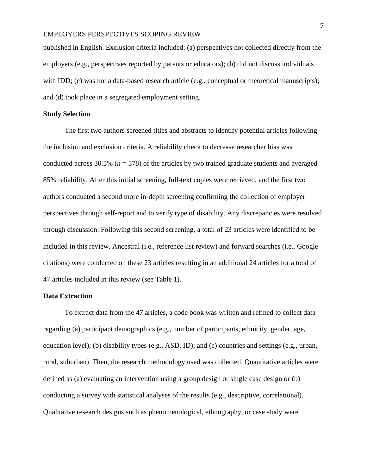published in English. Exclusion criteria included: (a) perspectives not collected directly from the employers (e.g., perspectives reported by parents or educators); (b) did not discuss individuals with IDD; (c) was not a data-based research article (e.g., conceptual or theoretical manuscripts); and (d) took place in a segregated employment setting.

### **Study Selection**

The first two authors screened titles and abstracts to identify potential articles following the inclusion and exclusion criteria. A reliability check to decrease researcher bias was conducted across  $30.5\%$  ( $n = 578$ ) of the articles by two trained graduate students and averaged 85% reliability. After this initial screening, full-text copies were retrieved, and the first two authors conducted a second more in-depth screening confirming the collection of employer perspectives through self-report and to verify type of disability. Any discrepancies were resolved through discussion. Following this second screening, a total of 23 articles were identified to be included in this review. Ancestral (i.e., reference list review) and forward searches (i.e., Google citations) were conducted on these 23 articles resulting in an additional 24 articles for a total of 47 articles included in this review (see Table 1).

### **Data Extraction**

To extract data from the 47 articles, a code book was written and refined to collect data regarding (a) participant demographics (e.g., number of participants, ethnicity, gender, age, education level); (b) disability types (e.g., ASD, ID); and (c) countries and settings (e.g., urban, rural, suburban). Then, the research methodology used was collected. Quantitative articles were defined as (a) evaluating an intervention using a group design or single case design or (b) conducting a survey with statistical analyses of the results (e.g., descriptive, correlational). Qualitative research designs such as phenomenological, ethnography, or case study were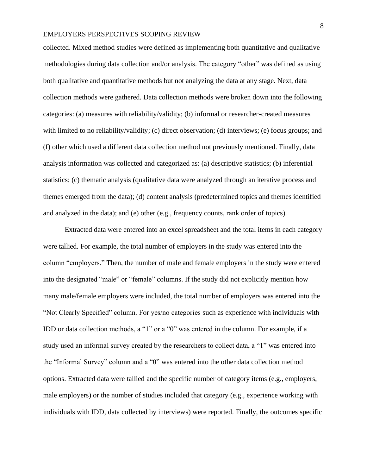collected. Mixed method studies were defined as implementing both quantitative and qualitative methodologies during data collection and/or analysis. The category "other" was defined as using both qualitative and quantitative methods but not analyzing the data at any stage. Next, data collection methods were gathered. Data collection methods were broken down into the following categories: (a) measures with reliability/validity; (b) informal or researcher-created measures with limited to no reliability/validity; (c) direct observation; (d) interviews; (e) focus groups; and (f) other which used a different data collection method not previously mentioned. Finally, data analysis information was collected and categorized as: (a) descriptive statistics; (b) inferential statistics; (c) thematic analysis (qualitative data were analyzed through an iterative process and themes emerged from the data); (d) content analysis (predetermined topics and themes identified and analyzed in the data); and (e) other (e.g., frequency counts, rank order of topics).

Extracted data were entered into an excel spreadsheet and the total items in each category were tallied. For example, the total number of employers in the study was entered into the column "employers." Then, the number of male and female employers in the study were entered into the designated "male" or "female" columns. If the study did not explicitly mention how many male/female employers were included, the total number of employers was entered into the "Not Clearly Specified" column. For yes/no categories such as experience with individuals with IDD or data collection methods, a "1" or a "0" was entered in the column. For example, if a study used an informal survey created by the researchers to collect data, a "1" was entered into the "Informal Survey" column and a "0" was entered into the other data collection method options. Extracted data were tallied and the specific number of category items (e.g., employers, male employers) or the number of studies included that category (e.g., experience working with individuals with IDD, data collected by interviews) were reported. Finally, the outcomes specific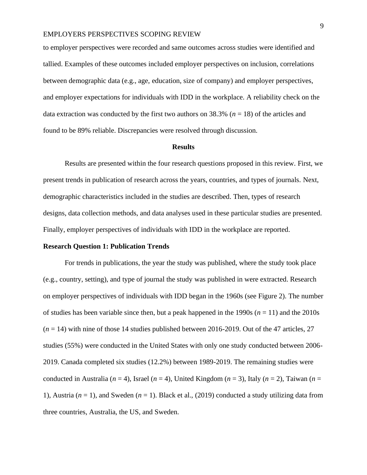to employer perspectives were recorded and same outcomes across studies were identified and tallied. Examples of these outcomes included employer perspectives on inclusion, correlations between demographic data (e.g., age, education, size of company) and employer perspectives, and employer expectations for individuals with IDD in the workplace. A reliability check on the data extraction was conducted by the first two authors on  $38.3\%$  ( $n = 18$ ) of the articles and found to be 89% reliable. Discrepancies were resolved through discussion.

#### **Results**

Results are presented within the four research questions proposed in this review. First, we present trends in publication of research across the years, countries, and types of journals. Next, demographic characteristics included in the studies are described. Then, types of research designs, data collection methods, and data analyses used in these particular studies are presented. Finally, employer perspectives of individuals with IDD in the workplace are reported.

#### **Research Question 1: Publication Trends**

For trends in publications, the year the study was published, where the study took place (e.g., country, setting), and type of journal the study was published in were extracted. Research on employer perspectives of individuals with IDD began in the 1960s (see Figure 2). The number of studies has been variable since then, but a peak happened in the 1990s  $(n = 11)$  and the 2010s (*n* = 14) with nine of those 14 studies published between 2016-2019. Out of the 47 articles, 27 studies (55%) were conducted in the United States with only one study conducted between 2006- 2019. Canada completed six studies (12.2%) between 1989-2019. The remaining studies were conducted in Australia ( $n = 4$ ), Israel ( $n = 4$ ), United Kingdom ( $n = 3$ ), Italy ( $n = 2$ ), Taiwan ( $n = 1$ ) 1), Austria ( $n = 1$ ), and Sweden ( $n = 1$ ). Black et al., (2019) conducted a study utilizing data from three countries, Australia, the US, and Sweden.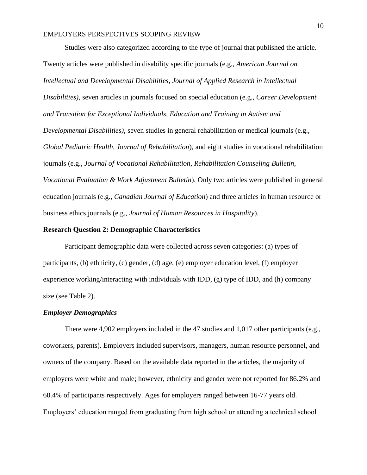Studies were also categorized according to the type of journal that published the article. Twenty articles were published in disability specific journals (e.g., *American Journal on Intellectual and Developmental Disabilities, Journal of Applied Research in Intellectual Disabilities)*, seven articles in journals focused on special education (e.g., *Career Development and Transition for Exceptional Individuals, Education and Training in Autism and Developmental Disabilities)*, seven studies in general rehabilitation or medical journals (e.g., *Global Pediatric Health, Journal of Rehabilitation*), and eight studies in vocational rehabilitation journals (e.g., *Journal of Vocational Rehabilitation, Rehabilitation Counseling Bulletin, Vocational Evaluation & Work Adjustment Bulletin*). Only two articles were published in general education journals (e.g., *Canadian Journal of Education*) and three articles in human resource or business ethics journals (e.g., *Journal of Human Resources in Hospitality*).

### **Research Question 2: Demographic Characteristics**

Participant demographic data were collected across seven categories: (a) types of participants, (b) ethnicity, (c) gender, (d) age, (e) employer education level, (f) employer experience working/interacting with individuals with IDD, (g) type of IDD, and (h) company size (see Table 2).

### *Employer Demographics*

There were 4,902 employers included in the 47 studies and 1,017 other participants (e.g., coworkers, parents). Employers included supervisors, managers, human resource personnel, and owners of the company. Based on the available data reported in the articles, the majority of employers were white and male; however, ethnicity and gender were not reported for 86.2% and 60.4% of participants respectively. Ages for employers ranged between 16-77 years old. Employers' education ranged from graduating from high school or attending a technical school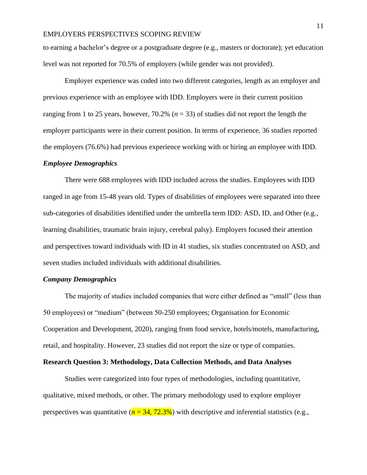to earning a bachelor's degree or a postgraduate degree (e.g., masters or doctorate); yet education level was not reported for 70.5% of employers (while gender was not provided).

Employer experience was coded into two different categories, length as an employer and previous experience with an employee with IDD. Employers were in their current position ranging from 1 to 25 years, however, 70.2% (*n* = 33) of studies did not report the length the employer participants were in their current position. In terms of experience, 36 studies reported the employers (76.6%) had previous experience working with or hiring an employee with IDD.

#### *Employee Demographics*

There were 688 employees with IDD included across the studies. Employees with IDD ranged in age from 15-48 years old. Types of disabilities of employees were separated into three sub-categories of disabilities identified under the umbrella term IDD: ASD, ID, and Other (e.g., learning disabilities, traumatic brain injury, cerebral palsy). Employers focused their attention and perspectives toward individuals with ID in 41 studies, six studies concentrated on ASD, and seven studies included individuals with additional disabilities.

#### *Company Demographics*

The majority of studies included companies that were either defined as "small" (less than 50 employees) or "medium" (between 50-250 employees; Organisation for Economic Cooperation and Development, 2020), ranging from food service, hotels/motels, manufacturing, retail, and hospitality. However, 23 studies did not report the size or type of companies.

### **Research Question 3: Methodology, Data Collection Methods, and Data Analyses**

Studies were categorized into four types of methodologies, including quantitative, qualitative, mixed methods, or other. The primary methodology used to explore employer perspectives was quantitative  $(n = 34, 72.3\%)$  with descriptive and inferential statistics (e.g.,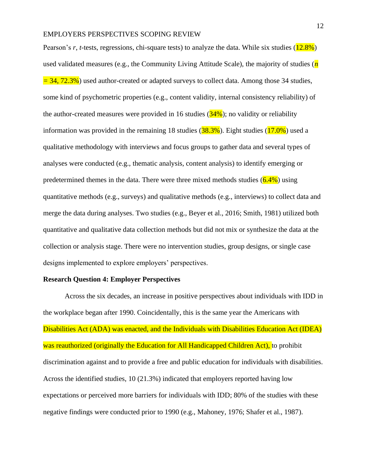Pearson's *r*, *t*-tests, regressions, chi-square tests) to analyze the data. While six studies (12.8%) used validated measures (e.g., the Community Living Attitude Scale), the majority of studies (*n =* 34, 72.3%) used author-created or adapted surveys to collect data. Among those 34 studies, some kind of psychometric properties (e.g., content validity, internal consistency reliability) of the author-created measures were provided in 16 studies  $(34\%)$ ; no validity or reliability information was provided in the remaining 18 studies  $(38.3\%)$ . Eight studies  $(17.0\%)$  used a qualitative methodology with interviews and focus groups to gather data and several types of analyses were conducted (e.g., thematic analysis, content analysis) to identify emerging or predetermined themes in the data. There were three mixed methods studies  $(6.4\%)$  using quantitative methods (e.g., surveys) and qualitative methods (e.g., interviews) to collect data and merge the data during analyses. Two studies (e.g., Beyer et al., 2016; Smith, 1981) utilized both quantitative and qualitative data collection methods but did not mix or synthesize the data at the collection or analysis stage. There were no intervention studies, group designs, or single case designs implemented to explore employers' perspectives.

#### **Research Question 4: Employer Perspectives**

Across the six decades, an increase in positive perspectives about individuals with IDD in the workplace began after 1990. Coincidentally, this is the same year the Americans with Disabilities Act (ADA) was enacted, and the Individuals with Disabilities Education Act (IDEA) was reauthorized (originally the Education for All Handicapped Children Act), to prohibit discrimination against and to provide a free and public education for individuals with disabilities. Across the identified studies, 10 (21.3%) indicated that employers reported having low expectations or perceived more barriers for individuals with IDD; 80% of the studies with these negative findings were conducted prior to 1990 (e.g., Mahoney, 1976; Shafer et al., 1987).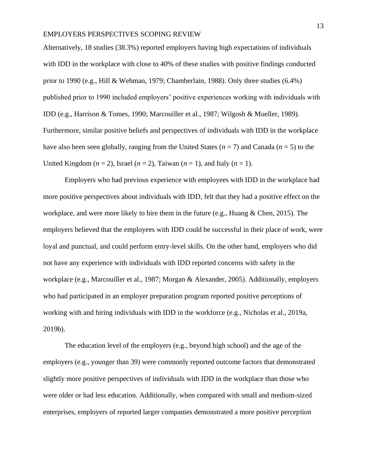Alternatively, 18 studies (38.3%) reported employers having high expectations of individuals with IDD in the workplace with close to 40% of these studies with positive findings conducted prior to 1990 (e.g., Hill & Wehman, 1979; Chamberlain, 1988). Only three studies (6.4%) published prior to 1990 included employers' positive experiences working with individuals with IDD (e.g., Harrison & Tomes, 1990; Marcouiller et al., 1987; Wilgosh & Mueller, 1989). Furthermore, similar positive beliefs and perspectives of individuals with IDD in the workplace have also been seen globally, ranging from the United States  $(n = 7)$  and Canada  $(n = 5)$  to the United Kingdom  $(n = 2)$ , Israel  $(n = 2)$ , Taiwan  $(n = 1)$ , and Italy  $(n = 1)$ .

Employers who had previous experience with employees with IDD in the workplace had more positive perspectives about individuals with IDD, felt that they had a positive effect on the workplace, and were more likely to hire them in the future (e.g., Huang & Chen, 2015). The employers believed that the employees with IDD could be successful in their place of work, were loyal and punctual, and could perform entry-level skills. On the other hand, employers who did not have any experience with individuals with IDD reported concerns with safety in the workplace (e.g., Marcouiller et al., 1987; Morgan & Alexander, 2005). Additionally, employers who had participated in an employer preparation program reported positive perceptions of working with and hiring individuals with IDD in the workforce (e.g., Nicholas et al., 2019a, 2019b).

The education level of the employers (e.g., beyond high school) and the age of the employers (e.g., younger than 39) were commonly reported outcome factors that demonstrated slightly more positive perspectives of individuals with IDD in the workplace than those who were older or had less education. Additionally, when compared with small and medium-sized enterprises, employers of reported larger companies demonstrated a more positive perception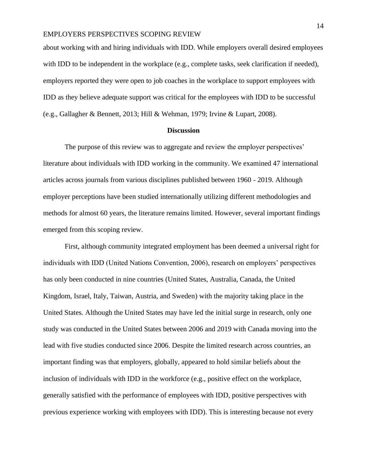about working with and hiring individuals with IDD. While employers overall desired employees with IDD to be independent in the workplace (e.g., complete tasks, seek clarification if needed), employers reported they were open to job coaches in the workplace to support employees with IDD as they believe adequate support was critical for the employees with IDD to be successful (e.g., Gallagher & Bennett, 2013; Hill & Wehman, 1979; Irvine & Lupart, 2008).

#### **Discussion**

The purpose of this review was to aggregate and review the employer perspectives' literature about individuals with IDD working in the community. We examined 47 international articles across journals from various disciplines published between 1960 - 2019. Although employer perceptions have been studied internationally utilizing different methodologies and methods for almost 60 years, the literature remains limited. However, several important findings emerged from this scoping review.

First, although community integrated employment has been deemed a universal right for individuals with IDD (United Nations Convention, 2006), research on employers' perspectives has only been conducted in nine countries (United States, Australia, Canada, the United Kingdom, Israel, Italy, Taiwan, Austria, and Sweden) with the majority taking place in the United States. Although the United States may have led the initial surge in research, only one study was conducted in the United States between 2006 and 2019 with Canada moving into the lead with five studies conducted since 2006. Despite the limited research across countries, an important finding was that employers, globally, appeared to hold similar beliefs about the inclusion of individuals with IDD in the workforce (e.g., positive effect on the workplace, generally satisfied with the performance of employees with IDD, positive perspectives with previous experience working with employees with IDD). This is interesting because not every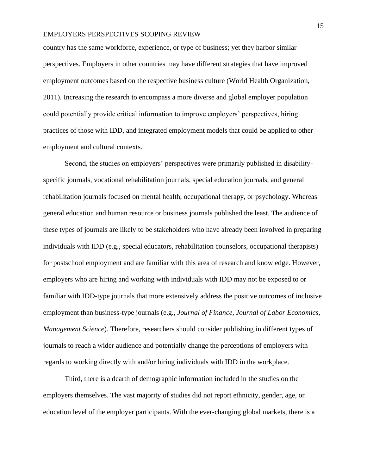country has the same workforce, experience, or type of business; yet they harbor similar perspectives. Employers in other countries may have different strategies that have improved employment outcomes based on the respective business culture (World Health Organization, 2011). Increasing the research to encompass a more diverse and global employer population could potentially provide critical information to improve employers' perspectives, hiring practices of those with IDD, and integrated employment models that could be applied to other employment and cultural contexts.

Second, the studies on employers' perspectives were primarily published in disabilityspecific journals, vocational rehabilitation journals, special education journals, and general rehabilitation journals focused on mental health, occupational therapy, or psychology. Whereas general education and human resource or business journals published the least. The audience of these types of journals are likely to be stakeholders who have already been involved in preparing individuals with IDD (e.g., special educators, rehabilitation counselors, occupational therapists) for postschool employment and are familiar with this area of research and knowledge. However, employers who are hiring and working with individuals with IDD may not be exposed to or familiar with IDD-type journals that more extensively address the positive outcomes of inclusive employment than business-type journals (e.g., *Journal of Finance, Journal of Labor Economics, Management Science*). Therefore, researchers should consider publishing in different types of journals to reach a wider audience and potentially change the perceptions of employers with regards to working directly with and/or hiring individuals with IDD in the workplace.

Third, there is a dearth of demographic information included in the studies on the employers themselves. The vast majority of studies did not report ethnicity, gender, age, or education level of the employer participants. With the ever-changing global markets, there is a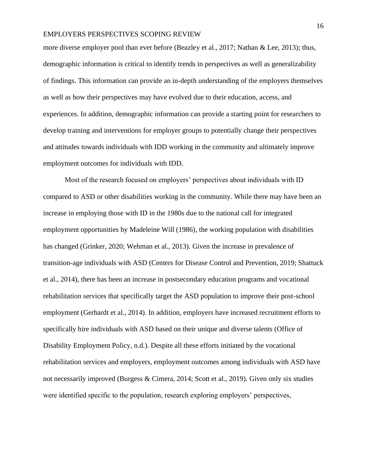more diverse employer pool than ever before (Beazley et al., 2017; Nathan & Lee, 2013); thus, demographic information is critical to identify trends in perspectives as well as generalizability of findings. This information can provide an in-depth understanding of the employers themselves as well as how their perspectives may have evolved due to their education, access, and experiences. In addition, demographic information can provide a starting point for researchers to develop training and interventions for employer groups to potentially change their perspectives and attitudes towards individuals with IDD working in the community and ultimately improve employment outcomes for individuals with IDD.

Most of the research focused on employers' perspectives about individuals with ID compared to ASD or other disabilities working in the community. While there may have been an increase in employing those with ID in the 1980s due to the national call for integrated employment opportunities by Madeleine Will (1986), the working population with disabilities has changed (Grinker, 2020; Wehman et al., 2013). Given the increase in prevalence of transition-age individuals with ASD (Centers for Disease Control and Prevention, 2019; Shattuck et al., 2014), there has been an increase in postsecondary education programs and vocational rehabilitation services that specifically target the ASD population to improve their post-school employment (Gerhardt et al., 2014). In addition, employers have increased recruitment efforts to specifically hire individuals with ASD based on their unique and diverse talents (Office of Disability Employment Policy, n.d.). Despite all these efforts initiated by the vocational rehabilitation services and employers, employment outcomes among individuals with ASD have not necessarily improved (Burgess & Cimera, 2014; Scott et al., 2019). Given only six studies were identified specific to the population, research exploring employers' perspectives,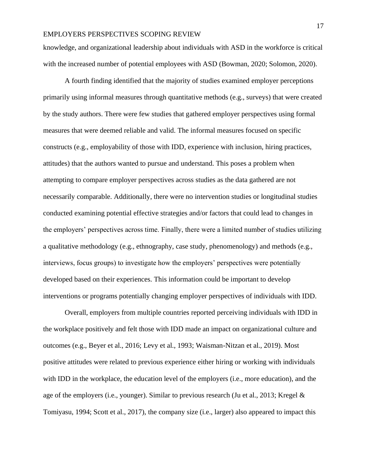knowledge, and organizational leadership about individuals with ASD in the workforce is critical with the increased number of potential employees with ASD (Bowman, 2020; Solomon, 2020).

A fourth finding identified that the majority of studies examined employer perceptions primarily using informal measures through quantitative methods (e.g., surveys) that were created by the study authors. There were few studies that gathered employer perspectives using formal measures that were deemed reliable and valid. The informal measures focused on specific constructs (e.g., employability of those with IDD, experience with inclusion, hiring practices, attitudes) that the authors wanted to pursue and understand. This poses a problem when attempting to compare employer perspectives across studies as the data gathered are not necessarily comparable. Additionally, there were no intervention studies or longitudinal studies conducted examining potential effective strategies and/or factors that could lead to changes in the employers' perspectives across time. Finally, there were a limited number of studies utilizing a qualitative methodology (e.g., ethnography, case study, phenomenology) and methods (e.g., interviews, focus groups) to investigate how the employers' perspectives were potentially developed based on their experiences. This information could be important to develop interventions or programs potentially changing employer perspectives of individuals with IDD.

Overall, employers from multiple countries reported perceiving individuals with IDD in the workplace positively and felt those with IDD made an impact on organizational culture and outcomes (e.g., Beyer et al., 2016; Levy et al., 1993; Waisman-Nitzan et al., 2019). Most positive attitudes were related to previous experience either hiring or working with individuals with IDD in the workplace, the education level of the employers (i.e., more education), and the age of the employers (i.e., younger). Similar to previous research (Ju et al., 2013; Kregel & Tomiyasu, 1994; Scott et al., 2017), the company size (i.e., larger) also appeared to impact this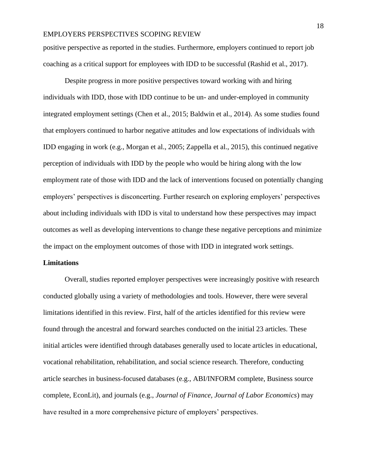positive perspective as reported in the studies. Furthermore, employers continued to report job coaching as a critical support for employees with IDD to be successful (Rashid et al., 2017).

Despite progress in more positive perspectives toward working with and hiring individuals with IDD, those with IDD continue to be un- and under-employed in community integrated employment settings (Chen et al., 2015; Baldwin et al., 2014). As some studies found that employers continued to harbor negative attitudes and low expectations of individuals with IDD engaging in work (e.g., Morgan et al., 2005; Zappella et al., 2015), this continued negative perception of individuals with IDD by the people who would be hiring along with the low employment rate of those with IDD and the lack of interventions focused on potentially changing employers' perspectives is disconcerting. Further research on exploring employers' perspectives about including individuals with IDD is vital to understand how these perspectives may impact outcomes as well as developing interventions to change these negative perceptions and minimize the impact on the employment outcomes of those with IDD in integrated work settings.

### **Limitations**

Overall, studies reported employer perspectives were increasingly positive with research conducted globally using a variety of methodologies and tools. However, there were several limitations identified in this review. First, half of the articles identified for this review were found through the ancestral and forward searches conducted on the initial 23 articles. These initial articles were identified through databases generally used to locate articles in educational, vocational rehabilitation, rehabilitation, and social science research. Therefore, conducting article searches in business-focused databases (e.g., ABI/INFORM complete, Business source complete, EconLit), and journals (e.g., *Journal of Finance, Journal of Labor Economics*) may have resulted in a more comprehensive picture of employers' perspectives.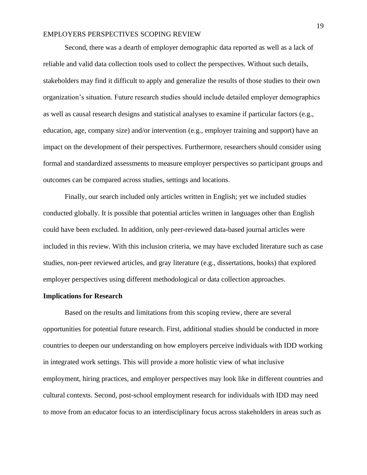Second, there was a dearth of employer demographic data reported as well as a lack of reliable and valid data collection tools used to collect the perspectives. Without such details, stakeholders may find it difficult to apply and generalize the results of those studies to their own organization's situation. Future research studies should include detailed employer demographics as well as causal research designs and statistical analyses to examine if particular factors (e.g., education, age, company size) and/or intervention (e.g., employer training and support) have an impact on the development of their perspectives. Furthermore, researchers should consider using formal and standardized assessments to measure employer perspectives so participant groups and outcomes can be compared across studies, settings and locations.

Finally, our search included only articles written in English; yet we included studies conducted globally. It is possible that potential articles written in languages other than English could have been excluded. In addition, only peer-reviewed data-based journal articles were included in this review. With this inclusion criteria, we may have excluded literature such as case studies, non-peer reviewed articles, and gray literature (e.g., dissertations, books) that explored employer perspectives using different methodological or data collection approaches.

# **Implications for Research**

Based on the results and limitations from this scoping review, there are several opportunities for potential future research. First, additional studies should be conducted in more countries to deepen our understanding on how employers perceive individuals with IDD working in integrated work settings. This will provide a more holistic view of what inclusive employment, hiring practices, and employer perspectives may look like in different countries and cultural contexts. Second, post-school employment research for individuals with IDD may need to move from an educator focus to an interdisciplinary focus across stakeholders in areas such as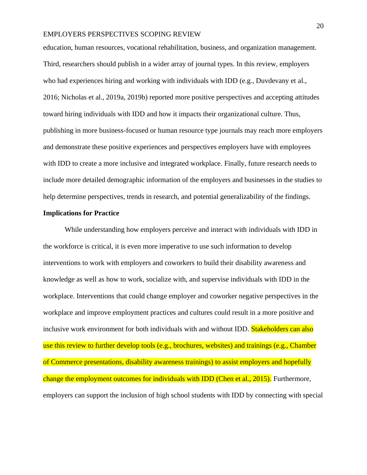education, human resources, vocational rehabilitation, business, and organization management. Third, researchers should publish in a wider array of journal types. In this review, employers who had experiences hiring and working with individuals with IDD (e.g., Duvdevany et al., 2016; Nicholas et al., 2019a, 2019b) reported more positive perspectives and accepting attitudes toward hiring individuals with IDD and how it impacts their organizational culture. Thus, publishing in more business-focused or human resource type journals may reach more employers and demonstrate these positive experiences and perspectives employers have with employees with IDD to create a more inclusive and integrated workplace. Finally, future research needs to include more detailed demographic information of the employers and businesses in the studies to help determine perspectives, trends in research, and potential generalizability of the findings.

### **Implications for Practice**

While understanding how employers perceive and interact with individuals with IDD in the workforce is critical, it is even more imperative to use such information to develop interventions to work with employers and coworkers to build their disability awareness and knowledge as well as how to work, socialize with, and supervise individuals with IDD in the workplace. Interventions that could change employer and coworker negative perspectives in the workplace and improve employment practices and cultures could result in a more positive and inclusive work environment for both individuals with and without IDD. Stakeholders can also use this review to further develop tools (e.g., brochures, websites) and trainings (e.g., Chamber of Commerce presentations, disability awareness trainings) to assist employers and hopefully change the employment outcomes for individuals with IDD (Chen et al., 2015). Furthermore, employers can support the inclusion of high school students with IDD by connecting with special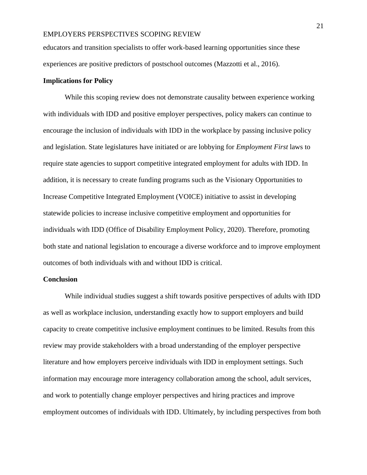educators and transition specialists to offer work-based learning opportunities since these experiences are positive predictors of postschool outcomes (Mazzotti et al., 2016).

### **Implications for Policy**

While this scoping review does not demonstrate causality between experience working with individuals with IDD and positive employer perspectives, policy makers can continue to encourage the inclusion of individuals with IDD in the workplace by passing inclusive policy and legislation. State legislatures have initiated or are lobbying for *Employment First* laws to require state agencies to support competitive integrated employment for adults with IDD. In addition, it is necessary to create funding programs such as the Visionary Opportunities to Increase Competitive Integrated Employment (VOICE) initiative to assist in developing statewide policies to increase inclusive competitive employment and opportunities for individuals with IDD (Office of Disability Employment Policy, 2020). Therefore, promoting both state and national legislation to encourage a diverse workforce and to improve employment outcomes of both individuals with and without IDD is critical.

### **Conclusion**

While individual studies suggest a shift towards positive perspectives of adults with IDD as well as workplace inclusion, understanding exactly how to support employers and build capacity to create competitive inclusive employment continues to be limited. Results from this review may provide stakeholders with a broad understanding of the employer perspective literature and how employers perceive individuals with IDD in employment settings. Such information may encourage more interagency collaboration among the school, adult services, and work to potentially change employer perspectives and hiring practices and improve employment outcomes of individuals with IDD. Ultimately, by including perspectives from both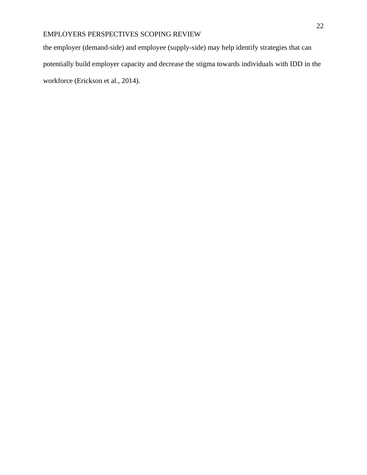the employer (demand-side) and employee (supply-side) may help identify strategies that can potentially build employer capacity and decrease the stigma towards individuals with IDD in the workforce (Erickson et al., 2014).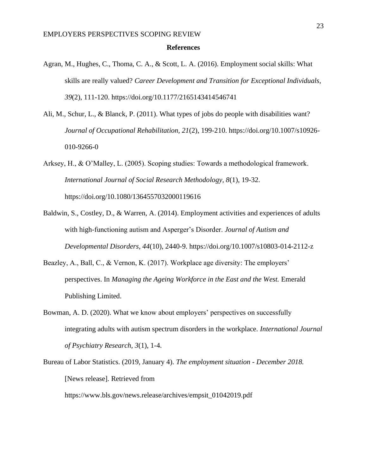#### **References**

- Agran, M., Hughes, C., Thoma, C. A., & Scott, L. A. (2016). Employment social skills: What skills are really valued? *Career Development and Transition for Exceptional Individuals, 39*(2), 111-120. https://doi.org/10.1177/2165143414546741
- Ali, M., Schur, L., & Blanck, P. (2011). What types of jobs do people with disabilities want? *Journal of Occupational Rehabilitation, 21*(2), 199-210. https://doi.org/10.1007/s10926- 010-9266-0
- Arksey, H., & O'Malley, L. (2005). Scoping studies: Towards a methodological framework. *International Journal of Social Research Methodology, 8*(1), 19-32. https://doi.org/10.1080/1364557032000119616
- Baldwin, S., Costley, D., & Warren, A. (2014). Employment activities and experiences of adults with high-functioning autism and Asperger's Disorder. *Journal of Autism and Developmental Disorders, 44*(10), 2440-9. https://doi.org/10.1007/s10803-014-2112-z
- Beazley, A., Ball, C., & Vernon, K. (2017). Workplace age diversity: The employers' perspectives. In *Managing the Ageing Workforce in the East and the West.* Emerald Publishing Limited.
- Bowman, A. D. (2020). What we know about employers' perspectives on successfully integrating adults with autism spectrum disorders in the workplace. *International Journal of Psychiatry Research, 3*(1), 1-4.
- Bureau of Labor Statistics. (2019, January 4). *The employment situation - December 2018.* [News release]. Retrieved from https://www.bls.gov/news.release/archives/empsit\_01042019.pdf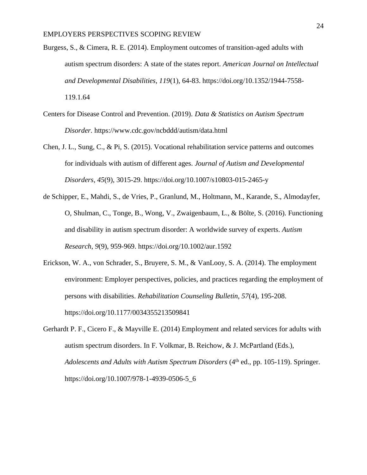- Burgess, S., & Cimera, R. E. (2014). Employment outcomes of transition-aged adults with autism spectrum disorders: A state of the states report. *American Journal on Intellectual and Developmental Disabilities, 119*(1), 64-83. https://doi.org/10.1352/1944-7558- 119.1.64
- Centers for Disease Control and Prevention. (2019). *Data & Statistics on Autism Spectrum Disorder.* https://www.cdc.gov/ncbddd/autism/data.html
- Chen, J. L., Sung, C., & Pi, S. (2015). Vocational rehabilitation service patterns and outcomes for individuals with autism of different ages. *Journal of Autism and Developmental Disorders, 45*(9), 3015-29. https://doi.org/10.1007/s10803-015-2465-y
- de Schipper, E., Mahdi, S., de Vries, P., Granlund, M., Holtmann, M., Karande, S., Almodayfer, O, Shulman, C., Tonge, B., Wong, V., Zwaigenbaum, L., & Bölte, S. (2016). Functioning and disability in autism spectrum disorder: A worldwide survey of experts. *Autism Research*, *9*(9), 959-969. https://doi.org/10.1002/aur.1592
- Erickson, W. A., von Schrader, S., Bruyere, S. M., & VanLooy, S. A. (2014). The employment environment: Employer perspectives, policies, and practices regarding the employment of persons with disabilities. *Rehabilitation Counseling Bulletin, 57*(4), 195-208. https://doi.org/10.1177/0034355213509841
- Gerhardt P. F., Cicero F., & Mayville E. (2014) Employment and related services for adults with autism spectrum disorders. In F. Volkmar, B. Reichow, & J. McPartland (Eds.), *Adolescents and Adults with Autism Spectrum Disorders* (4<sup>th</sup> ed., pp. 105-119). Springer. https://doi.org/10.1007/978-1-4939-0506-5\_6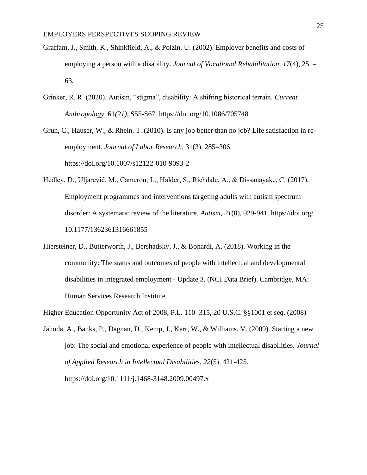- Graffam, J., Smith, K., Shinkfield, A., & Polzin, U. (2002). Employer benefits and costs of employing a person with a disability. *Journal of Vocational Rehabilitation*, *17*(4), 251– 63.
- Grinker, R. R. (2020). Autism, "stigma", disability: A shifting historical terrain. *Current Anthropology,* 61*(21),* S55-S67. https://doi.org/10.1086/705748

Grun, C., Hauser, W., & Rhein, T. (2010). Is any job better than no job? Life satisfaction in reemployment. *Journal of Labor Research*, 31(3), 285–306. https://doi.org/10.1007/s12122-010-9093-2

Hedley, D., Uljarević, M., Cameron, L., Halder, S., Richdale, A., & Dissanayake, C. (2017). Employment programmes and interventions targeting adults with autism spectrum disorder: A systematic review of the literature. *Autism, 21*(8), 929-941. https://doi.org/ 10.1177/1362361316661855

Hiersteiner, D., Butterworth, J., Bershadsky, J., & Bonardi, A. (2018). Working in the community: The status and outcomes of people with intellectual and developmental disabilities in integrated employment - Update 3. (NCI Data Brief). Cambridge, MA: Human Services Research Institute.

Higher Education Opportunity Act of 2008, P.L. 110–315, 20 U.S.C. §§1001 et seq. (2008)

Jahoda, A., Banks, P., Dagnan, D., Kemp, J., Kerr, W., & Williams, V. (2009). Starting a new job: The social and emotional experience of people with intellectual disabilities. *Journal of Applied Research in Intellectual Disabilities, 22*(5)*,* 421-425. https://doi.org/10.1111/j.1468-3148.2009.00497.x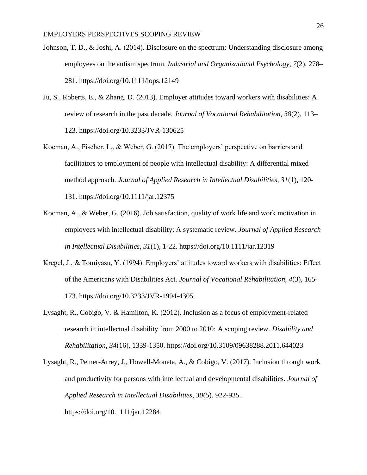- Johnson, T. D., & Joshi, A. (2014). Disclosure on the spectrum: Understanding disclosure among employees on the autism spectrum. *Industrial and Organizational Psychology, 7*(2), 278– 281. https://doi.org/10.1111/iops.12149
- Ju, S., Roberts, E., & Zhang, D. (2013). Employer attitudes toward workers with disabilities: A review of research in the past decade. *Journal of Vocational Rehabilitation, 38*(2), 113– 123. https://doi.org/10.3233/JVR-130625
- Kocman, A., Fischer, L., & Weber, G. (2017). The employers' perspective on barriers and facilitators to employment of people with intellectual disability: A differential mixedmethod approach. *Journal of Applied Research in Intellectual Disabilities, 31*(1), 120- 131. https://doi.org/10.1111/jar.12375
- Kocman, A., & Weber, G. (2016). Job satisfaction, quality of work life and work motivation in employees with intellectual disability: A systematic review. *Journal of Applied Research in Intellectual Disabilities, 31*(1), 1-22. https://doi.org/10.1111/jar.12319
- Kregel, J., & Tomiyasu, Y. (1994). Employers' attitudes toward workers with disabilities: Effect of the Americans with Disabilities Act. *Journal of Vocational Rehabilitation, 4*(3), 165- 173. https://doi.org/10.3233/JVR-1994-4305
- Lysaght, R., Cobigo, V. & Hamilton, K. (2012). Inclusion as a focus of employment-related research in intellectual disability from 2000 to 2010: A scoping review. *Disability and Rehabilitation, 34*(16), 1339-1350. https://doi.org/10.3109/09638288.2011.644023
- Lysaght, R., Petner-Arrey, J., Howell-Moneta, A., & Cobigo, V. (2017). Inclusion through work and productivity for persons with intellectual and developmental disabilities. *Journal of Applied Research in Intellectual Disabilities, 30*(5). 922-935. https://doi.org[/10.1111/jar.12284](https://doi.org/10.1111/jar.12284)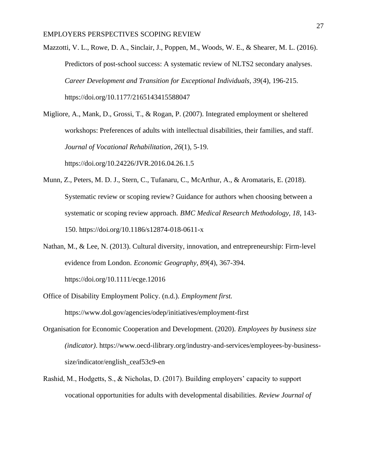Mazzotti, V. L., Rowe, D. A., Sinclair, J., Poppen, M., Woods, W. E., & Shearer, M. L. (2016). Predictors of post-school success: A systematic review of NLTS2 secondary analyses. *Career Development and Transition for Exceptional Individuals, 39*(4), 196-215. https://doi.org/10.1177/2165143415588047

Migliore, A., Mank, D., Grossi, T., & Rogan, P. (2007). Integrated employment or sheltered workshops: Preferences of adults with intellectual disabilities, their families, and staff. *Journal of Vocational Rehabilitation*, *26*(1), 5-19. https://doi.org/10.24226/JVR.2016.04.26.1.5

- Munn, Z., Peters, M. D. J., Stern, C., Tufanaru, C., McArthur, A., & Aromataris, E. (2018). Systematic review or scoping review? Guidance for authors when choosing between a systematic or scoping review approach. *BMC Medical Research Methodology, 18*, 143- 150. https://doi.org/10.1186/s12874-018-0611-x
- Nathan, M., & Lee, N. (2013). Cultural diversity, innovation, and entrepreneurship: Firm-level evidence from London. *Economic Geography, 89*(4), 367-394. https://doi.org/10.1111/ecge.12016
- Office of Disability Employment Policy. (n.d.). *Employment first.*  https://www.dol.gov/agencies/odep/initiatives/employment-first
- Organisation for Economic Cooperation and Development. (2020). *Employees by business size (indicator)*. https://www.oecd-ilibrary.org/industry-and-services/employees-by-businesssize/indicator/english\_ceaf53c9-en
- Rashid, M., Hodgetts, S., & Nicholas, D. (2017). Building employers' capacity to support vocational opportunities for adults with developmental disabilities. *Review Journal of*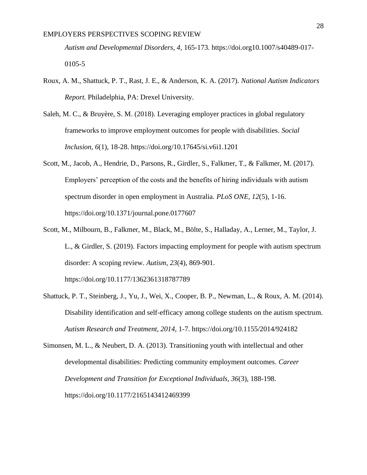*Autism and Developmental Disorders, 4,* 165-173. https://doi.org10.1007/s40489-017- 0105-5

- Roux, A. M., Shattuck, P. T., Rast, J. E., & Anderson, K. A. (2017). *National Autism Indicators Report.* Philadelphia, PA: Drexel University.
- Saleh, M. C., & Bruyère, S. M. (2018). Leveraging employer practices in global regulatory frameworks to improve employment outcomes for people with disabilities. *Social Inclusion, 6*(1), 18-28. https://doi.org/10.17645/si.v6i1.1201
- Scott, M., Jacob, A., Hendrie, D., Parsons, R., Girdler, S., Falkmer, T., & Falkmer, M. (2017). Employers' perception of the costs and the benefits of hiring individuals with autism spectrum disorder in open employment in Australia. *PLoS ONE, 12*(5), 1-16. https://doi.org/10.1371/journal.pone.0177607
- Scott, M., Milbourn, B., Falkmer, M., Black, M., Bölte, S., Halladay, A., Lerner, M., Taylor, J. L., & Girdler, S. (2019). Factors impacting employment for people with autism spectrum disorder: A scoping review. *Autism, 23*(4), 869-901. https://doi.org/10.1177/1362361318787789
- Shattuck, P. T., Steinberg, J., Yu, J., Wei, X., Cooper, B. P., Newman, L., & Roux, A. M. (2014). Disability identification and self-efficacy among college students on the autism spectrum. *Autism Research and Treatment, 2014,* 1-7. https://doi.org/10.1155/2014/924182

Simonsen, M. L., & Neubert, D. A. (2013). Transitioning youth with intellectual and other developmental disabilities: Predicting community employment outcomes. *Career Development and Transition for Exceptional Individuals, 36*(3), 188-198. https://doi.org/10.1177/2165143412469399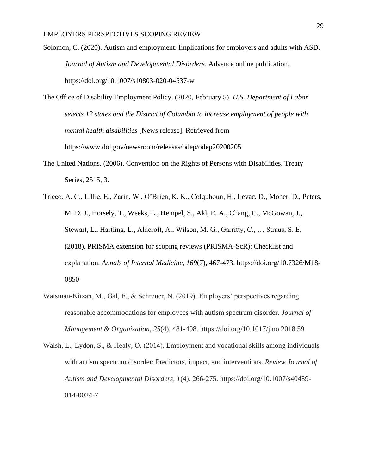- Solomon, C. (2020). Autism and employment: Implications for employers and adults with ASD. *Journal of Autism and Developmental Disorders.* Advance online publication. https://doi.org/10.1007/s10803-020-04537-w
- The Office of Disability Employment Policy. (2020, February 5). *U.S. Department of Labor selects 12 states and the District of Columbia to increase employment of people with mental health disabilities* [News release]. Retrieved from https://www.dol.gov/newsroom/releases/odep/odep20200205
- The United Nations. (2006). Convention on the Rights of Persons with Disabilities. Treaty Series, 2515, 3.
- Tricco, A. C., Lillie, E., Zarin, W., O'Brien, K. K., Colquhoun, H., Levac, D., Moher, D., Peters, M. D. J., Horsely, T., Weeks, L., Hempel, S., Akl, E. A., Chang, C., McGowan, J., Stewart, L., Hartling, L., Aldcroft, A., Wilson, M. G., Garritty, C., … Straus, S. E. (2018). PRISMA extension for scoping reviews (PRISMA-ScR): Checklist and explanation. *Annals of Internal Medicine, 169*(7), 467-473. https://doi.org/10.7326/M18- 0850
- Waisman-Nitzan, M., Gal, E., & Schreuer, N. (2019). Employers' perspectives regarding reasonable accommodations for employees with autism spectrum disorder. *Journal of Management & Organization*, *25*(4), 481-498. https://doi.org/10.1017/jmo.2018.59
- Walsh, L., Lydon, S., & Healy, O. (2014). Employment and vocational skills among individuals with autism spectrum disorder: Predictors, impact, and interventions. *Review Journal of Autism and Developmental Disorders, 1*(4), 266-275. https://doi.org/10.1007/s40489- 014-0024-7